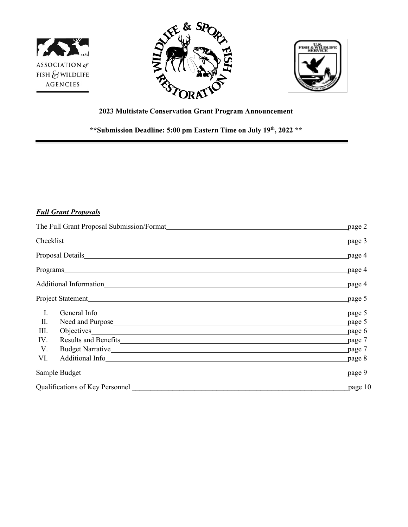





# **2023 Multistate Conservation Grant Program Announcement**

**\*\*Submission Deadline: 5:00 pm Eastern Time on July 19th, 2022 \*\*** 

# *Full Grant Proposals*

| The Full Grant Proposal Submission/Format News Assembly and Submission of the Submission of the Submission of the Submission of the Submission of the Submission of the Submission of the Submission of the Submission of the |                                                                                                                                                                                                                                          | page 2  |
|-------------------------------------------------------------------------------------------------------------------------------------------------------------------------------------------------------------------------------|------------------------------------------------------------------------------------------------------------------------------------------------------------------------------------------------------------------------------------------|---------|
|                                                                                                                                                                                                                               |                                                                                                                                                                                                                                          | page 3  |
|                                                                                                                                                                                                                               |                                                                                                                                                                                                                                          | page 4  |
|                                                                                                                                                                                                                               |                                                                                                                                                                                                                                          | page 4  |
|                                                                                                                                                                                                                               |                                                                                                                                                                                                                                          | page 4  |
|                                                                                                                                                                                                                               |                                                                                                                                                                                                                                          | page 5  |
| Ι.                                                                                                                                                                                                                            | General Info <sub>chara</sub> and the contract of the contract of the contract of the contract of the contract of the contract of the contract of the contract of the contract of the contract of the contract of the contract of the co | page 5  |
| II.                                                                                                                                                                                                                           | Need and Purpose <u>and European and European and European and European and European and European and European and European and European and European and European and European and European and European and European and Europ</u>     | page 5  |
| Ш.                                                                                                                                                                                                                            | Objectives experience and the contract of the contract of the contract of the contract of the contract of the contract of the contract of the contract of the contract of the contract of the contract of the contract of the            | page 6  |
| IV.                                                                                                                                                                                                                           |                                                                                                                                                                                                                                          | page 7  |
| V.                                                                                                                                                                                                                            | Budget Narrative National Account of the Contract of the Contract of the Contract of the Contract of the Contract of the Contract of the Contract of the Contract of the Contract of the Contract of the Contract of the Contr           | page 7  |
| VI.                                                                                                                                                                                                                           | Additional Info                                                                                                                                                                                                                          | page 8  |
| Sample Budget                                                                                                                                                                                                                 |                                                                                                                                                                                                                                          | page 9  |
| Qualifications of Key Personnel                                                                                                                                                                                               |                                                                                                                                                                                                                                          | page 10 |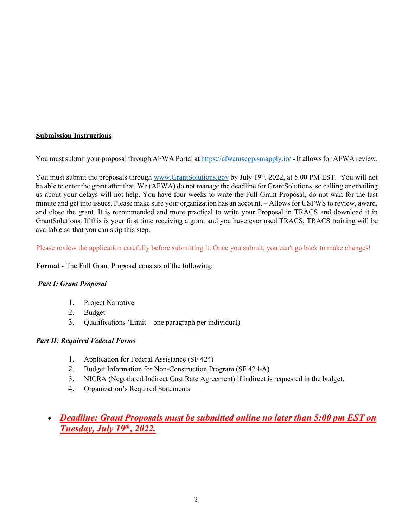## **Submission Instructions**

You must submit your proposal through AFWA Portal at <https://afwamscgp.smapply.io/> - It allows for AFWA review.

You must submit the proposals through [www.GrantSolutions.gov](http://www.grantsolutions.gov/) by July 19<sup>th</sup>, 2022, at 5:00 PM EST. You will not be able to enter the grant after that. We (AFWA) do not manage the deadline for GrantSolutions, so calling or emailing us about your delays will not help. You have four weeks to write the Full Grant Proposal, do not wait for the last minute and get into issues. Please make sure your organization has an account. – Allows for USFWS to review, award, and close the grant. It is recommended and more practical to write your Proposal in TRACS and download it in GrantSolutions. If this is your first time receiving a grant and you have ever used TRACS, TRACS training will be available so that you can skip this step.

Please review the application carefully before submitting it. Once you submit, you can't go back to make changes!

**Format** - The Full Grant Proposal consists of the following:

### *Part I: Grant Proposal*

- 1. Project Narrative
- 2. Budget
- 3. Qualifications (Limit one paragraph per individual)

# *Part II: Required Federal Forms*

- 1. Application for Federal Assistance (SF 424)
- 2. Budget Information for Non-Construction Program (SF 424-A)
- 3. NICRA (Negotiated Indirect Cost Rate Agreement) if indirect is requested in the budget.
- 4. Organization's Required Statements
- *Deadline: Grant Proposals must be submitted online no later than 5:00 pm EST on Tuesday, July 19th, 2022.*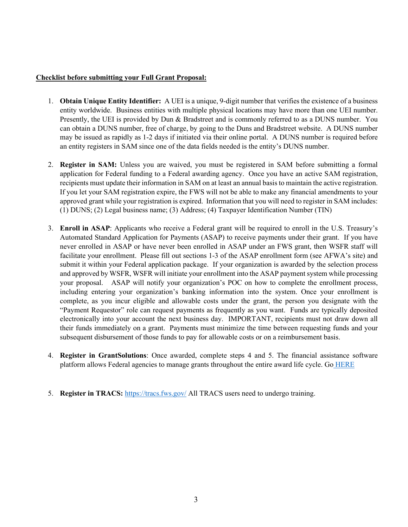### **Checklist before submitting your Full Grant Proposal:**

- 1. **Obtain Unique Entity Identifier:** A UEI is a unique, 9-digit number that verifies the existence of a business entity worldwide. Business entities with multiple physical locations may have more than one UEI number. Presently, the UEI is provided by Dun & Bradstreet and is commonly referred to as a DUNS number. You can obtain a DUNS number, free of charge, by going to the Duns and Bradstreet website. A DUNS number may be issued as rapidly as 1-2 days if initiated via their online portal. A DUNS number is required before an entity registers in SAM since one of the data fields needed is the entity's DUNS number.
- 2. **Register in SAM:** Unless you are waived, you must be registered in SAM before submitting a formal application for Federal funding to a Federal awarding agency. Once you have an active SAM registration, recipients must update their information in SAM on at least an annual basis to maintain the active registration. If you let your SAM registration expire, the FWS will not be able to make any financial amendments to your approved grant while your registration is expired. Information that you will need to register in SAM includes: (1) DUNS; (2) Legal business name; (3) Address; (4) Taxpayer Identification Number (TIN)
- 3. **Enroll in ASAP**: Applicants who receive a Federal grant will be required to enroll in the U.S. Treasury's Automated Standard Application for Payments (ASAP) to receive payments under their grant. If you have never enrolled in ASAP or have never been enrolled in ASAP under an FWS grant, then WSFR staff will facilitate your enrollment. Please fill out sections 1-3 of the ASAP enrollment form (see AFWA's site) and submit it within your Federal application package. If your organization is awarded by the selection process and approved by WSFR, WSFR will initiate your enrollment into the ASAP payment system while processing your proposal. ASAP will notify your organization's POC on how to complete the enrollment process, including entering your organization's banking information into the system. Once your enrollment is complete, as you incur eligible and allowable costs under the grant, the person you designate with the "Payment Requestor" role can request payments as frequently as you want. Funds are typically deposited electronically into your account the next business day. IMPORTANT, recipients must not draw down all their funds immediately on a grant. Payments must minimize the time between requesting funds and your subsequent disbursement of those funds to pay for allowable costs or on a reimbursement basis.
- 4. **Register in GrantSolutions**: Once awarded, complete steps 4 and 5. The financial assistance software platform allows Federal agencies to manage grants throughout the entire award life cycle. Go HERE
- 5. **Register in TRACS:** <https://tracs.fws.gov/> All TRACS users need to undergo training.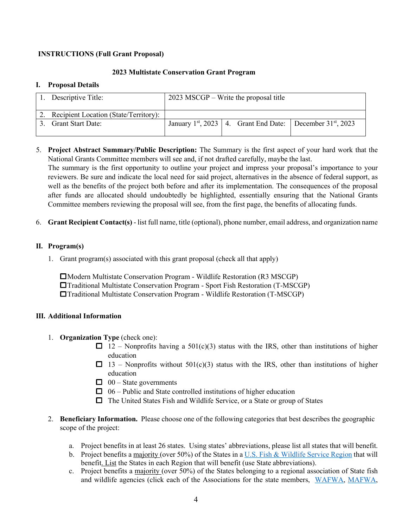## **INSTRUCTIONS (Full Grant Proposal)**

### **2023 Multistate Conservation Grant Program**

#### **I. Proposal Details**

| 1. Descriptive Title:                    | $2023$ MSCGP – Write the proposal title |  |  |                                                                              |
|------------------------------------------|-----------------------------------------|--|--|------------------------------------------------------------------------------|
| 2. Recipient Location (State/Territory): |                                         |  |  |                                                                              |
| <b>Grant Start Date:</b>                 |                                         |  |  | January 1 <sup>st</sup> , 2023   4. Grant End Date:   December $31st$ , 2023 |

5. **Project Abstract Summary/Public Description:** The Summary is the first aspect of your hard work that the National Grants Committee members will see and, if not drafted carefully, maybe the last.

The summary is the first opportunity to outline your project and impress your proposal's importance to your reviewers. Be sure and indicate the local need for said project, alternatives in the absence of federal support, as well as the benefits of the project both before and after its implementation. The consequences of the proposal after funds are allocated should undoubtedly be highlighted, essentially ensuring that the National Grants Committee members reviewing the proposal will see, from the first page, the benefits of allocating funds.

6. **Grant Recipient Contact(s)** - list full name, title (optional), phone number, email address, and organization name

## **II. Program(s)**

1. Grant program(s) associated with this grant proposal (check all that apply)

Modern Multistate Conservation Program - Wildlife Restoration (R3 MSCGP) Traditional Multistate Conservation Program - Sport Fish Restoration (T-MSCGP) Traditional Multistate Conservation Program - Wildlife Restoration (T-MSCGP)

### **III. Additional Information**

- 1. **Organization Type** (check one):
	- $\Box$  12 Nonprofits having a 501(c)(3) status with the IRS, other than institutions of higher education
	- $\Box$  13 Nonprofits without 501(c)(3) status with the IRS, other than institutions of higher education
	- $\Box$  00 State governments
	- $\Box$  06 Public and State controlled institutions of higher education
	- $\Box$  The United States Fish and Wildlife Service, or a State or group of States
- 2. **Beneficiary Information.** Please choose one of the following categories that best describes the geographic scope of the project:
	- a. Project benefits in at least 26 states.Using states' abbreviations, please list all states that will benefit.
	- b. Project benefits a majority (over 50%) of the States in a [U.S. Fish & Wildlife Service Region](https://nctc.fws.gov/courses/csp/csp3115/resources/ESA_Folder/Regional_Offices5_04.pdf) that will benefit. List the States in each Region that will benefit (use State abbreviations).
	- c. Project benefits a majority (over 50%) of the States belonging to a regional association of State fish and wildlife agencies (click each of the Associations for the state members, [WAFWA,](https://www.wafwa.org/) [MAFWA,](http://www.mafwa.org/wp-content/uploads/2011/06/MAFWA_Map_11.jpg)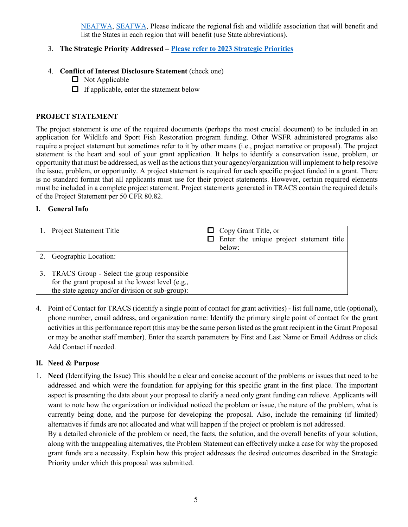[NEAFWA,](https://www.neafwa.org/members.html) [SEAFWA,](http://www.seafwa.org/) Please indicate the regional fish and wildlife association that will benefit and list the States in each region that will benefit (use State abbreviations).

# 3. **The Strategic Priority Addressed – [Please refer to 2023 Strategic Priorities](chrome-extension://efaidnbmnnnibpcajpcglclefindmkaj/https:/www.fishwildlife.org/application/files/9316/4683/9651/2023_MSCGP_Strategic_Priorities.pdf)**

- 4. **Conflict of Interest Disclosure Statement** (check one)
	- $\Box$  Not Applicable
	- $\Box$  If applicable, enter the statement below

## **PROJECT STATEMENT**

The project statement is one of the required documents (perhaps the most crucial document) to be included in an application for Wildlife and Sport Fish Restoration program funding. Other WSFR administered programs also require a project statement but sometimes refer to it by other means (i.e., project narrative or proposal). The project statement is the heart and soul of your grant application. It helps to identify a conservation issue, problem, or opportunity that must be addressed, as well asthe actions that your agency/organization will implement to help resolve the issue, problem, or opportunity. A project statement is required for each specific project funded in a grant. There is no standard format that all applicants must use for their project statements. However, certain required elements must be included in a complete project statement. Project statements generated in TRACS contain the required details of the Project Statement per 50 CFR 80.82.

## **I. General Info**

| 1. Project Statement Title                                                                                                                               | $\Box$ Copy Grant Title, or<br>$\Box$ Enter the unique project statement title<br>below: |
|----------------------------------------------------------------------------------------------------------------------------------------------------------|------------------------------------------------------------------------------------------|
| 2. Geographic Location:                                                                                                                                  |                                                                                          |
| 3. TRACS Group - Select the group responsible<br>for the grant proposal at the lowest level (e.g., b)<br>the state agency and/or division or sub-group): |                                                                                          |

4. Point of Contact for TRACS (identify a single point of contact for grant activities) - list full name, title (optional), phone number, email address, and organization name: Identify the primary single point of contact for the grant activities in this performance report (this may be the same person listed as the grant recipient in the Grant Proposal or may be another staff member). Enter the search parameters by First and Last Name or Email Address or click Add Contact if needed.

### **II. Need & Purpose**

1. **Need** (Identifying the Issue) This should be a clear and concise account of the problems or issues that need to be addressed and which were the foundation for applying for this specific grant in the first place. The important aspect is presenting the data about your proposal to clarify a need only grant funding can relieve. Applicants will want to note how the organization or individual noticed the problem or issue, the nature of the problem, what is currently being done, and the purpose for developing the proposal. Also, include the remaining (if limited) alternatives if funds are not allocated and what will happen if the project or problem is not addressed.

By a detailed chronicle of the problem or need, the facts, the solution, and the overall benefits of your solution, along with the unappealing alternatives, the Problem Statement can effectively make a case for why the proposed grant funds are a necessity. Explain how this project addresses the desired outcomes described in the Strategic Priority under which this proposal was submitted.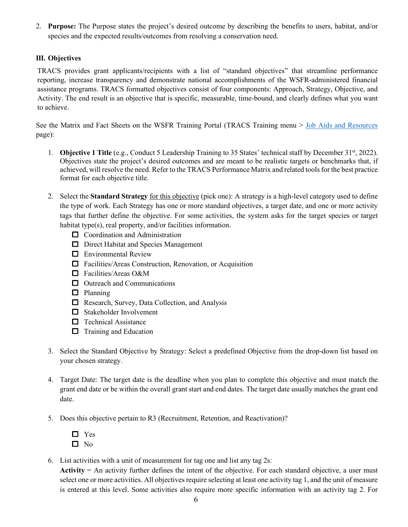2. **Purpose:** The Purpose states the project's desired outcome by describing the benefits to users, habitat, and/or species and the expected results/outcomes from resolving a conservation need.

# **III. Objectives**

TRACS provides grant applicants/recipients with a list of "standard objectives" that streamline performance reporting, increase transparency and demonstrate national accomplishments of the WSFR-administered financial assistance programs. TRACS formatted objectives consist of four components: Approach, Strategy, Objective, and Activity. The end result is an objective that is specific, measurable, time-bound, and clearly defines what you want to achieve.

See the Matrix and Fact Sheets on the WSFR Training Portal (TRACS Training menu > [Job Aids and Resources](https://wsfrtraining.fws.gov/mod/page/view.php?id=216&forceview=1) page):

- 1. **Objective 1 Title** (e.g., Conduct 5 Leadership Training to 35 States' technical staff by December 31st, 2022). Objectives state the project's desired outcomes and are meant to be realistic targets or benchmarks that, if achieved, will resolve the need. Refer to the TRACS Performance Matrix and related tools for the best practice format for each objective title.
- 2. Select the **Standard Strategy** for this objective (pick one): A strategy is a high-level category used to define the type of work. Each Strategy has one or more standard objectives, a target date, and one or more activity tags that further define the objective. For some activities, the system asks for the target species or target habitat type(s), real property, and/or facilities information.
	- Coordination and Administration
	- D Direct Habitat and Species Management
	- **E** Environmental Review
	- Facilities/Areas Construction, Renovation, or Acquisition
	- □ Facilities/Areas O&M
	- $\Box$  Outreach and Communications
	- $\Box$  Planning
	- Research, Survey, Data Collection, and Analysis
	- Stakeholder Involvement
	- $\Box$  Technical Assistance
	- $\Box$  Training and Education
- 3. Select the Standard Objective by Strategy: Select a predefined Objective from the drop-down list based on your chosen strategy.
- 4. Target Date: The target date is the deadline when you plan to complete this objective and must match the grant end date or be within the overall grant start and end dates. The target date usually matches the grant end date.
- 5. Does this objective pertain to R3 (Recruitment, Retention, and Reactivation)?
	- □ Yes  $\square$  No
- 6. List activities with a unit of measurement for tag one and list any tag 2s:

**Activity** = An activity further defines the intent of the objective. For each standard objective, a user must select one or more activities. All objectives require selecting at least one activity tag 1, and the unit of measure is entered at this level. Some activities also require more specific information with an activity tag 2. For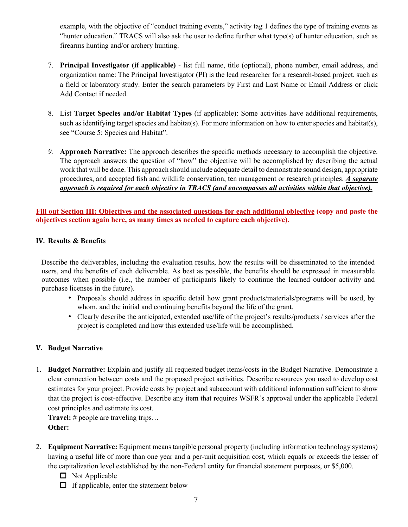example, with the objective of "conduct training events," activity tag 1 defines the type of training events as "hunter education." TRACS will also ask the user to define further what type(s) of hunter education, such as firearms hunting and/or archery hunting.

- 7. **Principal Investigator (if applicable)** list full name, title (optional), phone number, email address, and organization name: The Principal Investigator (PI) is the lead researcher for a research-based project, such as a field or laboratory study. Enter the search parameters by First and Last Name or Email Address or click Add Contact if needed.
- 8. List **Target Species and/or Habitat Types** (if applicable): Some activities have additional requirements, such as identifying target species and habitat(s). For more information on how to enter species and habitat(s), see "Course 5: Species and Habitat".
- *9.* **Approach Narrative:** The approach describes the specific methods necessary to accomplish the objective. The approach answers the question of "how" the objective will be accomplished by describing the actual work that will be done. This approach should include adequate detail to demonstrate sound design, appropriate procedures, and accepted fish and wildlife conservation, ten management or research principles. *A separate approach is required for each objective in TRACS (and encompasses all activities within that objective).*

**Fill out Section III: Objectives and the associated questions for each additional objective (copy and paste the objectives section again here, as many times as needed to capture each objective).**

## **IV. Results & Benefits**

Describe the deliverables, including the evaluation results, how the results will be disseminated to the intended users, and the benefits of each deliverable. As best as possible, the benefits should be expressed in measurable outcomes when possible (i.e., the number of participants likely to continue the learned outdoor activity and purchase licenses in the future).

- Proposals should address in specific detail how grant products/materials/programs will be used, by whom, and the initial and continuing benefits beyond the life of the grant.
- Clearly describe the anticipated, extended use/life of the project's results/products / services after the project is completed and how this extended use/life will be accomplished.

# **V. Budget Narrative**

1. **Budget Narrative:** Explain and justify all requested budget items/costs in the Budget Narrative. Demonstrate a clear connection between costs and the proposed project activities. Describe resources you used to develop cost estimates for your project. Provide costs by project and subaccount with additional information sufficient to show that the project is cost-effective. Describe any item that requires WSFR's approval under the applicable Federal cost principles and estimate its cost.

**Travel:** # people are traveling trips… **Other:**

- 2. **Equipment Narrative:** Equipment means tangible personal property (including information technology systems) having a useful life of more than one year and a per-unit acquisition cost, which equals or exceeds the lesser of the capitalization level established by the non‐Federal entity for financial statement purposes, or \$5,000.
	- $\Box$  Not Applicable
	- $\Box$  If applicable, enter the statement below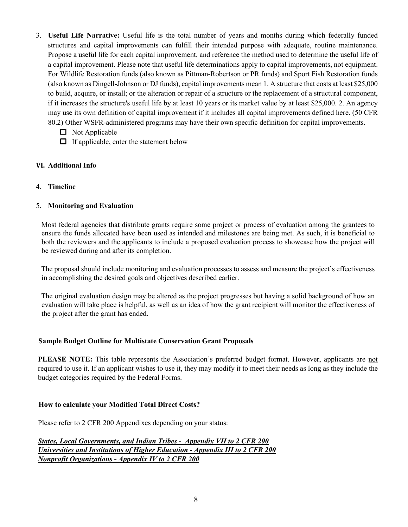- 3. **Useful Life Narrative:** Useful life is the total number of years and months during which federally funded structures and capital improvements can fulfill their intended purpose with adequate, routine maintenance. Propose a useful life for each capital improvement, and reference the method used to determine the useful life of a capital improvement. Please note that useful life determinations apply to capital improvements, not equipment. For Wildlife Restoration funds (also known as Pittman-Robertson or PR funds) and Sport Fish Restoration funds (also known as Dingell-Johnson or DJ funds), capital improvements mean 1. A structure that costs at least \$25,000 to build, acquire, or install; or the alteration or repair of a structure or the replacement of a structural component, if it increases the structure's useful life by at least 10 years or its market value by at least \$25,000. 2. An agency may use its own definition of capital improvement if it includes all capital improvements defined here. (50 CFR 80.2) Other WSFR-administered programs may have their own specific definition for capital improvements.
	- $\Box$  Not Applicable
	- $\Box$  If applicable, enter the statement below

# **VI. Additional Info**

4. **Timeline**

# 5. **Monitoring and Evaluation**

Most federal agencies that distribute grants require some project or process of evaluation among the grantees to ensure the funds allocated have been used as intended and milestones are being met. As such, it is beneficial to both the reviewers and the applicants to include a proposed evaluation process to showcase how the project will be reviewed during and after its completion.

The proposal should include monitoring and evaluation processes to assess and measure the project's effectiveness in accomplishing the desired goals and objectives described earlier.

The original evaluation design may be altered as the project progresses but having a solid background of how an evaluation will take place is helpful, as well as an idea of how the grant recipient will monitor the effectiveness of the project after the grant has ended.

### **Sample Budget Outline for Multistate Conservation Grant Proposals**

**PLEASE NOTE:** This table represents the Association's preferred budget format. However, applicants are not required to use it. If an applicant wishes to use it, they may modify it to meet their needs as long as they include the budget categories required by the Federal Forms.

# **How to calculate your Modified Total Direct Costs?**

Please refer to 2 CFR 200 Appendixes depending on your status:

*States, Local Governments, and Indian Tribes - Appendix VII to 2 CFR 200 Universities and Institutions of Higher Education - Appendix III to 2 CFR 200 Nonprofit Organizations - Appendix IV to 2 CFR 200*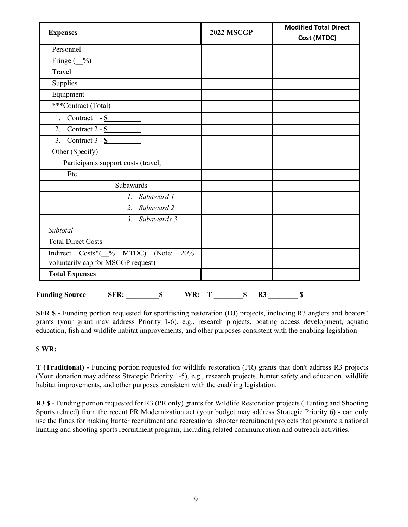| <b>Expenses</b>                                                                           | <b>2022 MSCGP</b> | <b>Modified Total Direct</b><br>Cost (MTDC) |
|-------------------------------------------------------------------------------------------|-------------------|---------------------------------------------|
| Personnel                                                                                 |                   |                                             |
| Fringe (<br>$\%$                                                                          |                   |                                             |
| Travel                                                                                    |                   |                                             |
| Supplies                                                                                  |                   |                                             |
| Equipment                                                                                 |                   |                                             |
| ***Contract (Total)                                                                       |                   |                                             |
| 1. Contract $1 - S$                                                                       |                   |                                             |
| Contract 2 - \$<br>2.                                                                     |                   |                                             |
| 3. Contract $3 - S$                                                                       |                   |                                             |
| Other (Specify)                                                                           |                   |                                             |
| Participants support costs (travel,                                                       |                   |                                             |
| Etc.                                                                                      |                   |                                             |
| Subawards                                                                                 |                   |                                             |
| Subaward 1<br>$l$ .                                                                       |                   |                                             |
| Subaward 2<br>2.                                                                          |                   |                                             |
| Subawards 3<br>$\mathfrak{Z}$ .                                                           |                   |                                             |
| Subtotal                                                                                  |                   |                                             |
| <b>Total Direct Costs</b>                                                                 |                   |                                             |
| Indirect $Costs^*$ ( $\%$<br>MTDC)<br>20%<br>(Note:<br>voluntarily cap for MSCGP request) |                   |                                             |
| <b>Total Expenses</b>                                                                     |                   |                                             |

**SFR \$** - Funding portion requested for sportfishing restoration (DJ) projects, including R3 anglers and boaters' grants (your grant may address Priority 1-6), e.g., research projects, boating access development, aquatic education, fish and wildlife habitat improvements, and other purposes consistent with the enabling legislation

# **\$ WR:**

**T (Traditional) -** Funding portion requested for wildlife restoration (PR) grants that don't address R3 projects (Your donation may address Strategic Priority 1-5), e.g., research projects, hunter safety and education, wildlife habitat improvements, and other purposes consistent with the enabling legislation.

**R3 \$** - Funding portion requested for R3 (PR only) grants for Wildlife Restoration projects (Hunting and Shooting Sports related) from the recent PR Modernization act (your budget may address Strategic Priority 6) - can only use the funds for making hunter recruitment and recreational shooter recruitment projects that promote a national hunting and shooting sports recruitment program, including related communication and outreach activities.